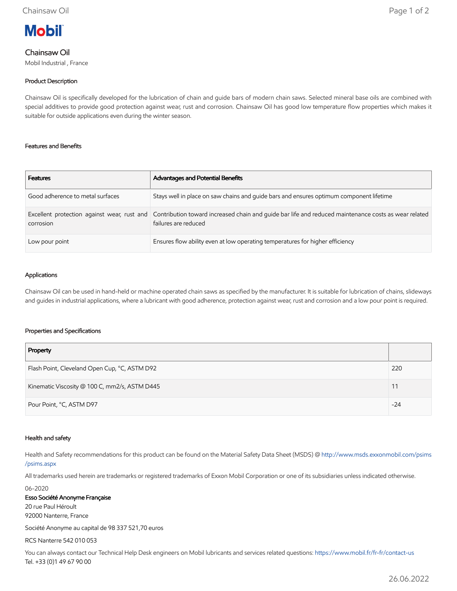# **Mobil**

# Chainsaw Oil

Mobil Industrial , France

## Product Description

Chainsaw Oil is specifically developed for the lubrication of chain and guide bars of modern chain saws. Selected mineral base oils are combined with special additives to provide good protection against wear, rust and corrosion. Chainsaw Oil has good low temperature flow properties which makes it suitable for outside applications even during the winter season.

#### Features and Benefits

| <b>Features</b>                  | Advantages and Potential Benefits                                                                                                                                        |
|----------------------------------|--------------------------------------------------------------------------------------------------------------------------------------------------------------------------|
| Good adherence to metal surfaces | Stays well in place on saw chains and guide bars and ensures optimum component lifetime                                                                                  |
| corrosion                        | Excellent protection against wear, rust and Contribution toward increased chain and quide bar life and reduced maintenance costs as wear related<br>failures are reduced |
| Low pour point                   | Ensures flow ability even at low operating temperatures for higher efficiency                                                                                            |

#### Applications

Chainsaw Oil can be used in hand-held or machine operated chain saws as specified by the manufacturer. It is suitable for lubrication of chains, slideways and guides in industrial applications, where a lubricant with good adherence, protection against wear, rust and corrosion and a low pour point is required.

#### Properties and Specifications

| Property                                      |       |
|-----------------------------------------------|-------|
| Flash Point, Cleveland Open Cup, °C, ASTM D92 | 220   |
| Kinematic Viscosity @ 100 C, mm2/s, ASTM D445 | 11    |
| Pour Point, °C, ASTM D97                      | $-24$ |

#### Health and safety

Health and Safety recommendations for this product can be found on the Material Safety Data Sheet (MSDS) @ [http://www.msds.exxonmobil.com/psims](http://www.msds.exxonmobil.com/psims/psims.aspx) /psims.aspx

All trademarks used herein are trademarks or registered trademarks of Exxon Mobil Corporation or one of its subsidiaries unless indicated otherwise.

06-2020

Esso Société Anonyme Française 20 rue Paul Héroult 92000 Nanterre, France Société Anonyme au capital de 98 337 521,70 euros

RCS Nanterre 542 010 053

You can always contact our Technical Help Desk engineers on Mobil lubricants and services related questions:<https://www.mobil.fr/fr-fr/contact-us> Tel. +33 (0)1 49 67 90 00